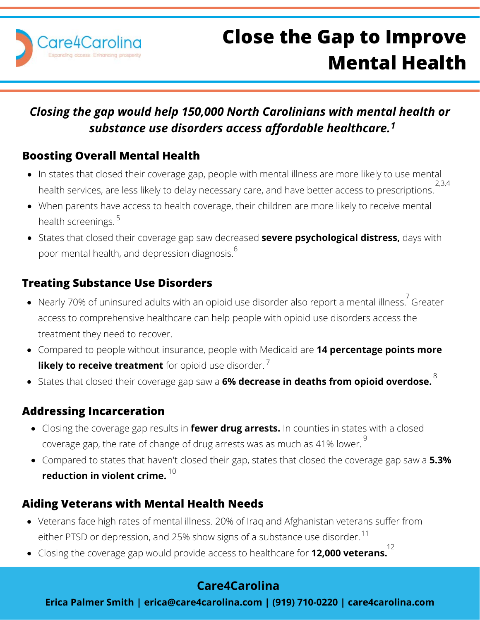

# **Close the Gap to Improve Mental Health**

### *Closing the gap would help 150,000 North Carolinians with mental health or substance use disorders access affordable healthcare.<sup>1</sup>*

#### **Boosting Overall Mental Health**

- In states that closed their coverage gap, people with mental illness are more likely to use mental health services, are less likely to delay necessary care, and have better access to prescriptions. 2,3,4
- When parents have access to health coverage, their children are more likely to receive mental health screenings. 5
- States that closed their coverage gap saw decreased **severe psychological distress,** days with poor mental health, and depression diagnosis. 6

#### **Treating Substance Use Disorders**

- Nearly 70% of uninsured adults with an opioid use disorder also report a mental illness. <sup>7</sup> Greater access to comprehensive healthcare can help people with opioid use disorders access the treatment they need to recover.
- Compared to people without insurance, people with Medicaid are **14 percentage points more likely to receive treatment** for opioid use disorder.<sup>7</sup>
- States that closed their coverage gap saw a **6% decrease in deaths from opioid overdose.** 8

#### **Addressing Incarceration**

- Closing the coverage gap results in **fewer drug arrests.** In counties in states with a closed coverage gap, the rate of change of drug arrests was as much as 41% lower.  $^9$
- Compared to states that haven't closed their gap, states that closed the coverage gap saw a **5.3% reduction in violent crime.** 10

#### **Aiding Veterans with Mental Health Needs**

- Veterans face high rates of mental illness. 20% of Iraq and Afghanistan veterans suffer from either PTSD or depression, and 25% show signs of a substance use disorder.  $^{\mathrm{11}}$
- Closing the coverage gap would provide access to healthcare for **12,000 veterans.** 12

#### **Care4Carolina**

**Erica Palmer Smith | erica@care4carolina.com | (919) 710-0220 | care4carolina.com**